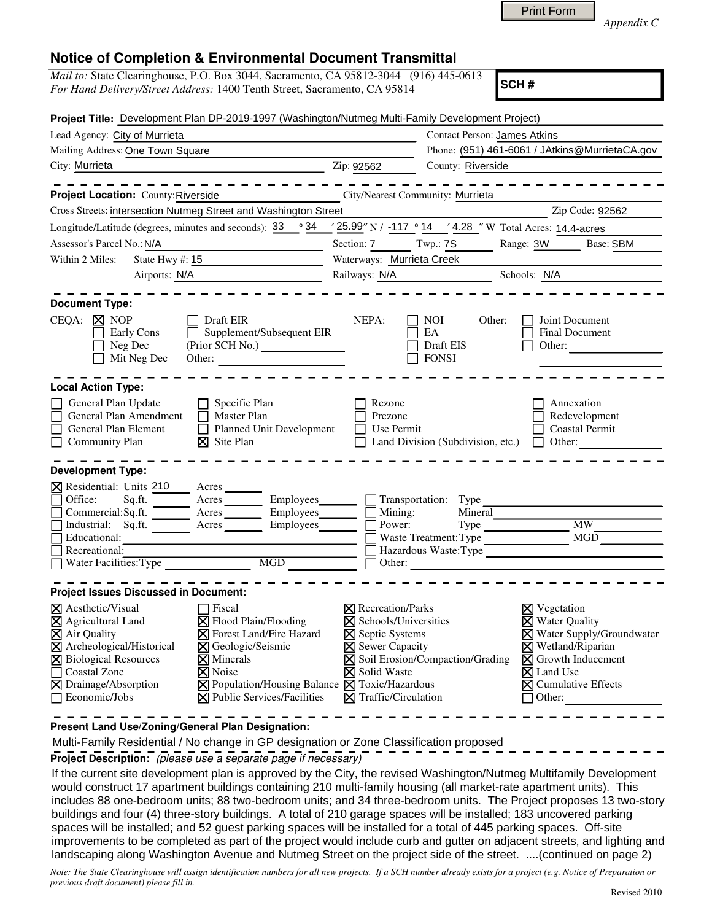*Appendix C* 

## **Notice of Completion & Environmental Document Transmittal**

| <i>Mail to:</i> State Clearinghouse, P.O. Box 3044, Sacramento, CA 95812-3044 (916) 445-0613 |  |
|----------------------------------------------------------------------------------------------|--|
| For Hand Delivery/Street Address: 1400 Tenth Street, Sacramento, CA 95814                    |  |

**SCH #**

| Project Title: Development Plan DP-2019-1997 (Washington/Nutmeg Multi-Family Development Project)                                                                                                                        |                                                                                                                                                                                                                                                                    |                                                                                                                                                                                |                                                                                  |                                                                                                                                                                                                                             |  |
|--------------------------------------------------------------------------------------------------------------------------------------------------------------------------------------------------------------------------|--------------------------------------------------------------------------------------------------------------------------------------------------------------------------------------------------------------------------------------------------------------------|--------------------------------------------------------------------------------------------------------------------------------------------------------------------------------|----------------------------------------------------------------------------------|-----------------------------------------------------------------------------------------------------------------------------------------------------------------------------------------------------------------------------|--|
| Lead Agency: City of Murrieta                                                                                                                                                                                            |                                                                                                                                                                                                                                                                    |                                                                                                                                                                                | <b>Contact Person: James Atkins</b>                                              |                                                                                                                                                                                                                             |  |
| Mailing Address: One Town Square                                                                                                                                                                                         |                                                                                                                                                                                                                                                                    | Phone: (951) 461-6061 / JAtkins@MurrietaCA.gov                                                                                                                                 |                                                                                  |                                                                                                                                                                                                                             |  |
| City: Murrieta                                                                                                                                                                                                           |                                                                                                                                                                                                                                                                    | Zip: 92562                                                                                                                                                                     | County: Riverside                                                                |                                                                                                                                                                                                                             |  |
| Project Location: County: Riverside<br>Cross Streets: intersection Nutmeg Street and Washington Street                                                                                                                   |                                                                                                                                                                                                                                                                    |                                                                                                                                                                                | City/Nearest Community: Murrieta                                                 | Zip Code: 92562                                                                                                                                                                                                             |  |
|                                                                                                                                                                                                                          |                                                                                                                                                                                                                                                                    |                                                                                                                                                                                |                                                                                  |                                                                                                                                                                                                                             |  |
| Longitude/Latitude (degrees, minutes and seconds): 33 ° 34                                                                                                                                                               |                                                                                                                                                                                                                                                                    |                                                                                                                                                                                |                                                                                  | 25.99" N / -117 ° 14 / 4.28 " W Total Acres: 14.4-acres                                                                                                                                                                     |  |
| Assessor's Parcel No.: N/A                                                                                                                                                                                               |                                                                                                                                                                                                                                                                    | Section: 7 Twp.: 7S<br>Range: 3W Base: SBM                                                                                                                                     |                                                                                  |                                                                                                                                                                                                                             |  |
| State Hwy #: 15<br>Within 2 Miles:                                                                                                                                                                                       |                                                                                                                                                                                                                                                                    | Waterways: Murrieta Creek                                                                                                                                                      |                                                                                  |                                                                                                                                                                                                                             |  |
| Airports: N/A                                                                                                                                                                                                            |                                                                                                                                                                                                                                                                    | Railways: N/A Schools: N/A                                                                                                                                                     |                                                                                  |                                                                                                                                                                                                                             |  |
| <b>Document Type:</b><br>$CEQA: \boxtimes NOP$<br>Early Cons<br>Neg Dec<br>Mit Neg Dec                                                                                                                                   | Draft EIR<br>Supplement/Subsequent EIR<br>П<br>(Prior SCH No.)<br>Other:                                                                                                                                                                                           | NEPA:                                                                                                                                                                          | NOI<br>Other:<br>EA<br>Draft EIS<br><b>FONSI</b>                                 | Joint Document<br>Final Document<br>Other:                                                                                                                                                                                  |  |
| <b>Local Action Type:</b>                                                                                                                                                                                                |                                                                                                                                                                                                                                                                    |                                                                                                                                                                                |                                                                                  |                                                                                                                                                                                                                             |  |
| General Plan Update<br>General Plan Amendment<br>$\Box$<br>General Plan Element<br>Community Plan                                                                                                                        | Specific Plan<br>$\perp$<br><b>Master Plan</b><br>$\Box$<br>Planned Unit Development<br>$\boxtimes$ Site Plan                                                                                                                                                      | Rezone<br>Prezone<br>Use Permit                                                                                                                                                | Land Division (Subdivision, etc.)                                                | Annexation<br>Redevelopment<br><b>Coastal Permit</b><br>Other:                                                                                                                                                              |  |
| <b>Development Type:</b>                                                                                                                                                                                                 |                                                                                                                                                                                                                                                                    |                                                                                                                                                                                |                                                                                  |                                                                                                                                                                                                                             |  |
| <b>X</b> Residential: Units 210<br>Office:<br>Commercial: Sq.ft.<br>$\Box$<br>Industrial: Sq.ft. Acres<br>Educational:<br>Recreational:<br>$\Box$ Water Facilities: Type                                                 | Acres<br>Employees_<br>$\overline{\phantom{a}}$ Acres<br>Employees_______<br>Employees<br>MGD THE MODEL TO THE MAIN                                                                                                                                                | Mining:<br>Power:                                                                                                                                                              | Transportation: Type<br>Mineral<br>Waste Treatment: Type<br>Hazardous Waste:Type | <b>MW</b><br>$Type \_\_$<br>MGD                                                                                                                                                                                             |  |
| <b>Project Issues Discussed in Document:</b>                                                                                                                                                                             |                                                                                                                                                                                                                                                                    |                                                                                                                                                                                |                                                                                  |                                                                                                                                                                                                                             |  |
| ⊠ Aesthetic/Visual<br>$\times$ Agricultural Land<br>$\times$ Air Quality<br>$\times$ Archeological/Historical<br><b>X</b> Biological Resources<br>□ Coastal Zone<br><b>⊠</b> Drainage/Absorption<br>$\Box$ Economic/Jobs | Fiscal<br>$\boxtimes$ Flood Plain/Flooding<br><b>X</b> Forest Land/Fire Hazard<br><b>X</b> Geologic/Seismic<br>$\nabla$ Minerals<br>$\boxtimes$ Noise<br>$\boxtimes$ Population/Housing Balance $\boxtimes$ Toxic/Hazardous<br><b>X</b> Public Services/Facilities | $\boxtimes$ Recreation/Parks<br>$\times$ Schools/Universities<br><b>X</b> Septic Systems<br>$\times$ Sewer Capacity<br><b>X</b> Solid Waste<br>$\boxtimes$ Traffic/Circulation | $\boxtimes$ Soil Erosion/Compaction/Grading                                      | $\boxtimes$ Vegetation<br>$\times$ Water Quality<br><b>X</b> Water Supply/Groundwater<br>$\nabla$ Wetland/Riparian<br>$\boxtimes$ Growth Inducement<br>$\times$ Land Use<br>$\boxtimes$ Cumulative Effects<br>$\Box$ Other: |  |

**Present Land Use/Zoning/General Plan Designation:**

Multi-Family Residential / No change in GP designation or Zone Classification proposed

**Project Description:** (please use a separate page if necessary)

 If the current site development plan is approved by the City, the revised Washington/Nutmeg Multifamily Development would construct 17 apartment buildings containing 210 multi-family housing (all market-rate apartment units). This includes 88 one-bedroom units; 88 two-bedroom units; and 34 three-bedroom units. The Project proposes 13 two-story buildings and four (4) three-story buildings. A total of 210 garage spaces will be installed; 183 uncovered parking spaces will be installed; and 52 guest parking spaces will be installed for a total of 445 parking spaces. Off-site improvements to be completed as part of the project would include curb and gutter on adjacent streets, and lighting and landscaping along Washington Avenue and Nutmeg Street on the project side of the street. ....(continued on page 2)

*Note: The State Clearinghouse will assign identification numbers for all new projects. If a SCH number already exists for a project (e.g. Notice of Preparation or previous draft document) please fill in.*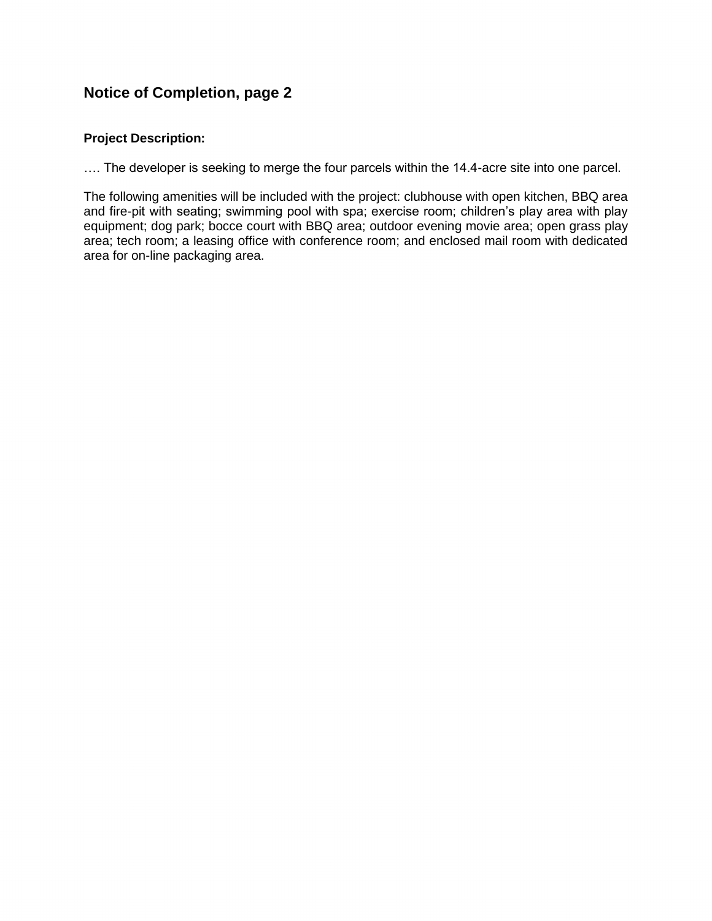## **Notice of Completion, page 2**

## **Project Description:**

…. The developer is seeking to merge the four parcels within the 14.4-acre site into one parcel.

The following amenities will be included with the project: clubhouse with open kitchen, BBQ area and fire-pit with seating; swimming pool with spa; exercise room; children's play area with play equipment; dog park; bocce court with BBQ area; outdoor evening movie area; open grass play area; tech room; a leasing office with conference room; and enclosed mail room with dedicated area for on-line packaging area.